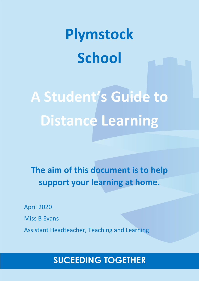# **Plymstock School**

**A Student's Guide to Distance Learning**

**The aim of this document is to help support your learning at home.** 

April 2020 Miss B Evans Assistant Headteacher, Teaching and Learning

# **SUCEEDING TOGETHER**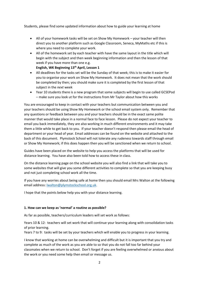Students, please find some updated information about how to guide your learning at home

- All of your homework tasks will be set on Show My Homework your teacher will then direct you to another platform such as Google Classroom, Seneca, MyMaths etc if this is where you need to complete your work.
- All of the homework set by each teacher with have the same layout in the title which will begin with the subject and then week beginning information and then the lesson of that week if you have more than one e.g.

**English, WK Beginning 13th April, Lesson 1** 

- All deadlines for the tasks set will be the Sunday of that week; this is to make it easier for you to organise your work on Show My Homework. It does not mean that the work should be completed by then; you should make sure it is completed by the first lesson of that subject in the *next* week
- Year 10 students there is a new program that some subjects will begin to use called GCSEPod – make sure you look ut for the instructions from Mr Taylor about how this works

You are encouraged to keep in contact with your teachers but communication between you and your teachers should be using Show My Homework or the school email system only. Remember that any questions or feedback between you and your teachers should be in the exact same polite manner that would take place in a normal face to face lesson. Please do not expect your teacher to email you back immediately, they are also working in much different environments and it may take them a little while to get back to you. If your teacher doesn't respond then please email the head of department or your head of year. Email addresses can be found on the website and attached to the back of this document. Plymstock School will not tolerate any rudeness towards staff through email or Show My Homework; if this does happen then you will be sanctioned when we return to school.

Guides have been placed on the website to help you access the platforms that will be used for distance learning. You have also been told how to access these in class.

On the distance learning page on the school website you will also find a link that will take you to some websites that will give you some different activities to complete so that you are keeping busy and not just completing school work all the time.

If you have any worries about being safe at home then you should email Mrs Walton at the following email address: [lwalton@plymstockschool.org.uk.](mailto:lwalton@plymstockschool.org.uk)

I hope that the points below help you with your distance learning.

#### **1. How can we keep as 'normal' a routine as possible?**

As far as possible, teachers/curriculum leaders will set work as follows:

Years 10 & 12: teachers will set work that will continue your learning along with consolidation tasks of prior learning.

Years 7 to 9: tasks will be set by your teachers which will enable you to progress in your learning.

I know that working at home can be overwhelming and difficult but it is important that you try and complete as much of the work as you are able to so that you do not fall too far behind your classmates when we return to school. Don't forget if you are feeling overwhelmed or anxious about the work or you need some help then email or message us.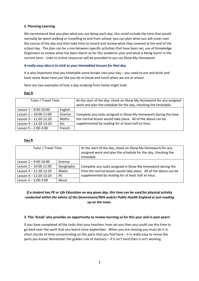#### **2. Planning Learning**

We recommend that you plan what you are doing each day, this could include the time that would normally be spent walking or travelling to and from school; you can plan what you will cover over the course of the day and then take time to record and review what they covered at the end of the school day. The plan can be a mix between specific activities that have been set, use of Knowledge Organisers to review what has been learnt so far this academic year and what is being learnt in the current term. Links to online resources will be provided to you via Show My Homework

#### *A really easy idea is to stick to your timetabled lessons for that day.*

It is also important that you timetable some breaks into your day – you need to eat and drink and have some down time just like you do at break and lunch when we are at school.

Here are two examples of how a day studying from home might look:

#### **Day A**

| Tutor / Travel Time        |         | At the start of the day, check on Show My Homework for any assigned<br>work and plan the schedule for the day, checking the timetable. |
|----------------------------|---------|----------------------------------------------------------------------------------------------------------------------------------------|
| Lesson $1 - 9:00 - 10:00$  | English |                                                                                                                                        |
| Lesson $2 - 10:00 - 11:00$ | Science | Complete any tasks assigned in Show My Homework during the time                                                                        |
| Lesson $3 - 11:20 - 12:20$ | Maths   | the normal lesson would take place. All of the above can be<br>supplemented by reading for at least half an hour.                      |
| Lesson $4 - 12:20 - 13:20$ | Art     |                                                                                                                                        |
| Lesson $5 - 2:00 - 3:00$   | French  |                                                                                                                                        |

#### **Day B**

| Tutor / Travel Time        |                | At the start of the day, check on Show My Homework for any<br>assigned work and plan the schedule for the day, checking the<br>timetable.                                            |
|----------------------------|----------------|--------------------------------------------------------------------------------------------------------------------------------------------------------------------------------------|
| Lesson $1 - 9:00 - 10:00$  | <b>Science</b> | Complete any tasks assigned in Show My Homework during the<br>time the normal lesson would take place. All of the above can be<br>supplemented by reading for at least half an hour. |
| Lesson $2 - 10:00 - 11:00$ | Geography      |                                                                                                                                                                                      |
| Lesson $3 - 11:20 - 12:20$ | Maths          |                                                                                                                                                                                      |
| Lesson $4 - 12:20 - 13:20$ | <b>PF</b>      |                                                                                                                                                                                      |
| Lesson $5 - 2:00 - 3:00$   | <b>Music</b>   |                                                                                                                                                                                      |

#### *If a student has PE or Life Education on any given day, this time can be used for physical activity conducted within the advice of the Government/NHS and/or Public Health England or just reading up on the news.*

#### **3. This 'break' also provides an opportunity to review learning so far this year and in past years!**

If you have completed all the tasks that your teachers have set you then you could use this time to go back over the work that you learnt since September. When you are revising you must do it in short chunks of time concentrating on the parts that you find hard – it is really easy to revise the parts you know! Remember the golden rule of memory – if it isn't hard then is isn't working.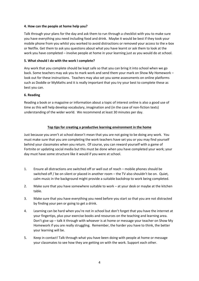#### **4. How can the people at home help you?**

Talk through your plans for the day and ask them to run through a checklist with you to make sure you have everything you need including food and drink. Maybe it would be best if they took your mobile phone from you whilst you worked to avoid distractions or removed your access to the x-box or Netflix. Get them to ask you questions about what you have learnt or ask them to look at the work you have completed – involve people at home in your learning just as you would do at school.

#### **5. What should I do with the work I complete?**

Any work that you complete should be kept safe so that you can bring it into school when we go back. Some teachers may ask you to mark work and send them your mark on Show My Homework – look out for these instructions. Teachers may also set you some assessments on online platforms such as Doddle or MyMaths and it is really important that you try your best to complete these as best you can.

#### **6. Reading**

Reading a book or a magazine or information about a topic of interest online is also a good use of time as this will help develop vocabulary, imagination and (in the case of non-fiction texts) understanding of the wider world. We recommend at least 30 minutes per day.

#### **Top tips for creating a productive learning environment in the home**

Just because you aren't at school doesn't mean that you are not going to be doing any work. You must make sure that you are completing the work teachers have set you or you may find yourself behind your classmates when you return. Of course, you can reward yourself with a game of Fortnite or updating social media but this must be done when you have completed your work; your day must have some structure like it would if you were at school.

- 1. Ensure all distractions are switched off or well out of reach mobile phones should be switched off / be on silent or placed in another room – the TV also shouldn't be on. Quiet, calm music in the background might provide a suitable backdrop to work being completed.
- 2. Make sure that you have somewhere suitable to work at your desk or maybe at the kitchen table.
- 3. Make sure that you have everything you need before you start so that you are not distracted by finding your pen or going to get a drink.
- 4. Learning can be hard when you're not in school but don't forget that you have the internet at your fingertips, plus your exercise books and resources on the teaching and learning area. Don't give up – talk it through with whoever is at home or message your teacher on Show My Homework if you are really struggling. Remember, the harder you have to think, the better your learning will be.
- 5. Keep in contact! Talk through what you have been doing with people at home or message your classmates to see how they are getting on with the work. Support each other.